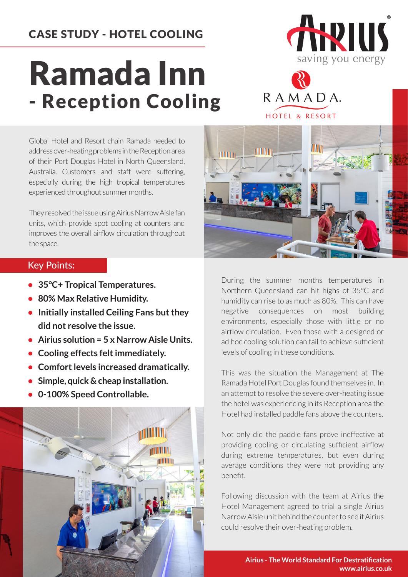## CASE STUDY - HOTEL COOLING

## Ramada Inn - Reception Cooling





**TITTING** 

**HITTING** 

TILL

Global Hotel and Resort chain Ramada needed to address over-heating problems in the Reception area of their Port Douglas Hotel in North Queensland, Australia. Customers and staff were suffering, especially during the high tropical temperatures experienced throughout summer months.

They resolved the issue using Airius Narrow Aisle fan units, which provide spot cooling at counters and improves the overall airflow circulation throughout the space.

## Key Points:

- **35°C+ Tropical Temperatures.**
- **80% Max Relative Humidity.**
- **Initially installed Ceiling Fans but they did not resolve the issue.**
- **• Airius solution = 5 x Narrow Aisle Units.**
- **Cooling effects felt immediately.**
- **Comfort levels increased dramatically.**
- **Simple, quick & cheap installation.**
- **0-100% Speed Controllable.**



During the summer months temperatures in Northern Queensland can hit highs of 35°C and humidity can rise to as much as 80%. This can have negative consequences on most building environments, especially those with little or no airflow circulation. Even those with a designed or ad hoc cooling solution can fail to achieve sufficient levels of cooling in these conditions.

This was the situation the Management at The Ramada Hotel Port Douglas found themselves in. In an attempt to resolve the severe over-heating issue the hotel was experiencing in its Reception area the Hotel had installed paddle fans above the counters.

Not only did the paddle fans prove ineffective at providing cooling or circulating sufficient airflow during extreme temperatures, but even during average conditions they were not providing any benefit.

Following discussion with the team at Airius the Hotel Management agreed to trial a single Airius Narrow Aisle unit behind the counter to see if Airius could resolve their over-heating problem.